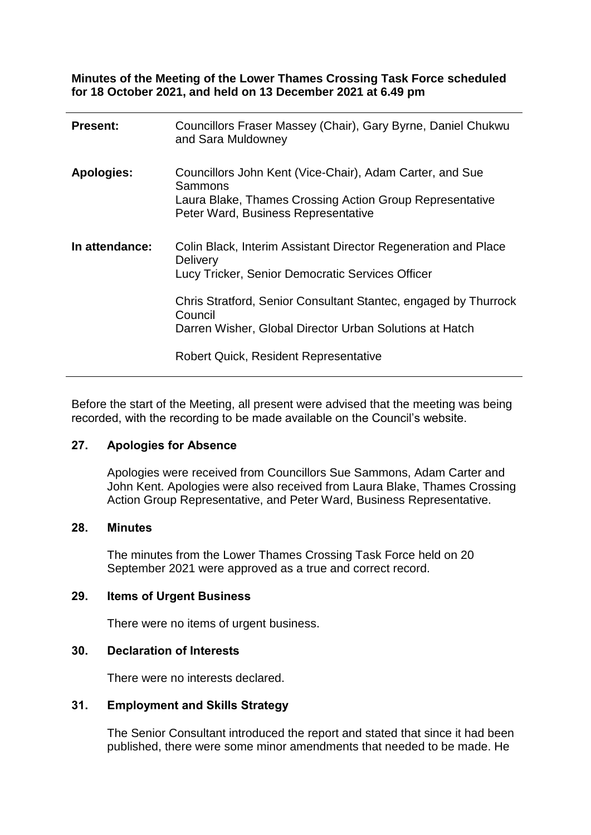**Minutes of the Meeting of the Lower Thames Crossing Task Force scheduled for 18 October 2021, and held on 13 December 2021 at 6.49 pm**

| <b>Present:</b>   | Councillors Fraser Massey (Chair), Gary Byrne, Daniel Chukwu<br>and Sara Muldowney                                                                                     |
|-------------------|------------------------------------------------------------------------------------------------------------------------------------------------------------------------|
| <b>Apologies:</b> | Councillors John Kent (Vice-Chair), Adam Carter, and Sue<br>Sammons<br>Laura Blake, Thames Crossing Action Group Representative<br>Peter Ward, Business Representative |
| In attendance:    | Colin Black, Interim Assistant Director Regeneration and Place<br><b>Delivery</b><br>Lucy Tricker, Senior Democratic Services Officer                                  |
|                   | Chris Stratford, Senior Consultant Stantec, engaged by Thurrock<br>Council<br>Darren Wisher, Global Director Urban Solutions at Hatch                                  |
|                   | <b>Robert Quick, Resident Representative</b>                                                                                                                           |

Before the start of the Meeting, all present were advised that the meeting was being recorded, with the recording to be made available on the Council's website.

## **27. Apologies for Absence**

Apologies were received from Councillors Sue Sammons, Adam Carter and John Kent. Apologies were also received from Laura Blake, Thames Crossing Action Group Representative, and Peter Ward, Business Representative.

## **28. Minutes**

The minutes from the Lower Thames Crossing Task Force held on 20 September 2021 were approved as a true and correct record.

# **29. Items of Urgent Business**

There were no items of urgent business.

## **30. Declaration of Interests**

There were no interests declared.

#### **31. Employment and Skills Strategy**

The Senior Consultant introduced the report and stated that since it had been published, there were some minor amendments that needed to be made. He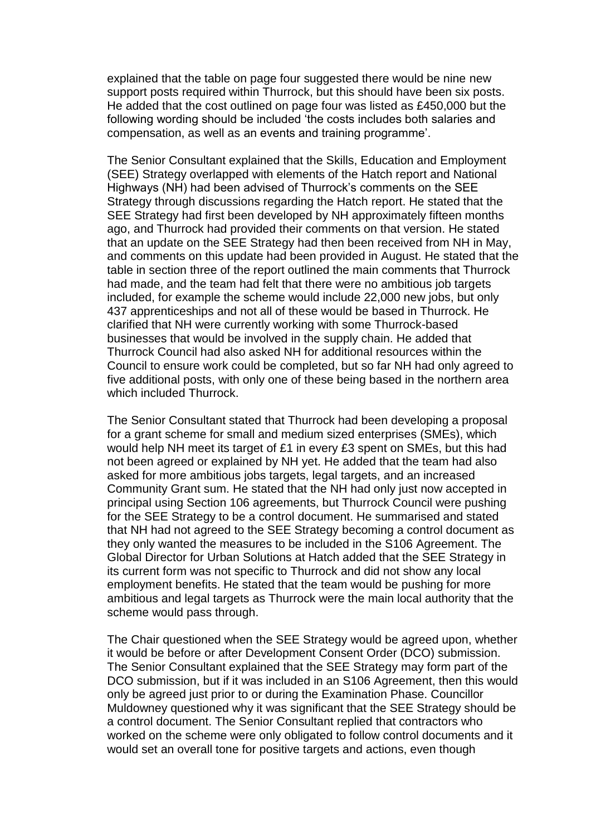explained that the table on page four suggested there would be nine new support posts required within Thurrock, but this should have been six posts. He added that the cost outlined on page four was listed as £450,000 but the following wording should be included 'the costs includes both salaries and compensation, as well as an events and training programme'.

The Senior Consultant explained that the Skills, Education and Employment (SEE) Strategy overlapped with elements of the Hatch report and National Highways (NH) had been advised of Thurrock's comments on the SEE Strategy through discussions regarding the Hatch report. He stated that the SEE Strategy had first been developed by NH approximately fifteen months ago, and Thurrock had provided their comments on that version. He stated that an update on the SEE Strategy had then been received from NH in May, and comments on this update had been provided in August. He stated that the table in section three of the report outlined the main comments that Thurrock had made, and the team had felt that there were no ambitious job targets included, for example the scheme would include 22,000 new jobs, but only 437 apprenticeships and not all of these would be based in Thurrock. He clarified that NH were currently working with some Thurrock-based businesses that would be involved in the supply chain. He added that Thurrock Council had also asked NH for additional resources within the Council to ensure work could be completed, but so far NH had only agreed to five additional posts, with only one of these being based in the northern area which included Thurrock.

The Senior Consultant stated that Thurrock had been developing a proposal for a grant scheme for small and medium sized enterprises (SMEs), which would help NH meet its target of £1 in every £3 spent on SMEs, but this had not been agreed or explained by NH yet. He added that the team had also asked for more ambitious jobs targets, legal targets, and an increased Community Grant sum. He stated that the NH had only just now accepted in principal using Section 106 agreements, but Thurrock Council were pushing for the SEE Strategy to be a control document. He summarised and stated that NH had not agreed to the SEE Strategy becoming a control document as they only wanted the measures to be included in the S106 Agreement. The Global Director for Urban Solutions at Hatch added that the SEE Strategy in its current form was not specific to Thurrock and did not show any local employment benefits. He stated that the team would be pushing for more ambitious and legal targets as Thurrock were the main local authority that the scheme would pass through.

The Chair questioned when the SEE Strategy would be agreed upon, whether it would be before or after Development Consent Order (DCO) submission. The Senior Consultant explained that the SEE Strategy may form part of the DCO submission, but if it was included in an S106 Agreement, then this would only be agreed just prior to or during the Examination Phase. Councillor Muldowney questioned why it was significant that the SEE Strategy should be a control document. The Senior Consultant replied that contractors who worked on the scheme were only obligated to follow control documents and it would set an overall tone for positive targets and actions, even though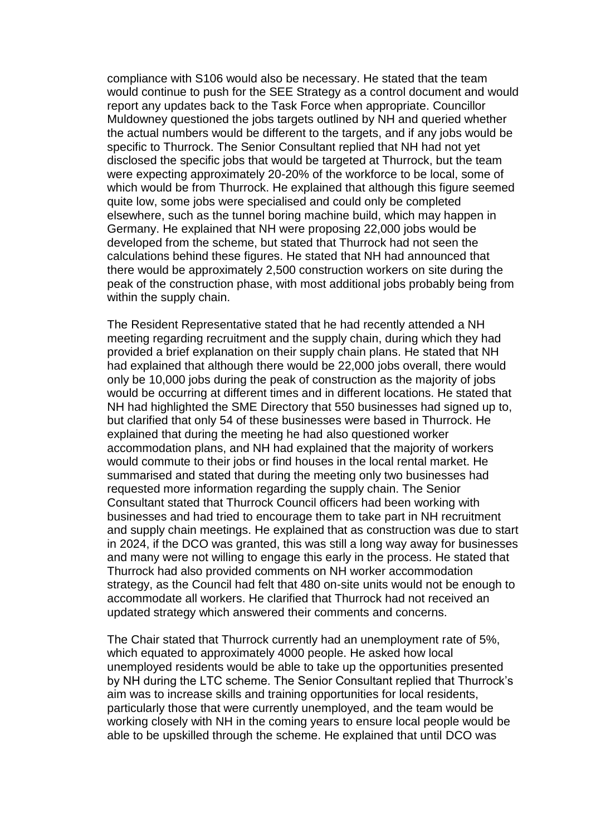compliance with S106 would also be necessary. He stated that the team would continue to push for the SEE Strategy as a control document and would report any updates back to the Task Force when appropriate. Councillor Muldowney questioned the jobs targets outlined by NH and queried whether the actual numbers would be different to the targets, and if any jobs would be specific to Thurrock. The Senior Consultant replied that NH had not yet disclosed the specific jobs that would be targeted at Thurrock, but the team were expecting approximately 20-20% of the workforce to be local, some of which would be from Thurrock. He explained that although this figure seemed quite low, some jobs were specialised and could only be completed elsewhere, such as the tunnel boring machine build, which may happen in Germany. He explained that NH were proposing 22,000 jobs would be developed from the scheme, but stated that Thurrock had not seen the calculations behind these figures. He stated that NH had announced that there would be approximately 2,500 construction workers on site during the peak of the construction phase, with most additional jobs probably being from within the supply chain.

The Resident Representative stated that he had recently attended a NH meeting regarding recruitment and the supply chain, during which they had provided a brief explanation on their supply chain plans. He stated that NH had explained that although there would be 22,000 jobs overall, there would only be 10,000 jobs during the peak of construction as the majority of jobs would be occurring at different times and in different locations. He stated that NH had highlighted the SME Directory that 550 businesses had signed up to, but clarified that only 54 of these businesses were based in Thurrock. He explained that during the meeting he had also questioned worker accommodation plans, and NH had explained that the majority of workers would commute to their jobs or find houses in the local rental market. He summarised and stated that during the meeting only two businesses had requested more information regarding the supply chain. The Senior Consultant stated that Thurrock Council officers had been working with businesses and had tried to encourage them to take part in NH recruitment and supply chain meetings. He explained that as construction was due to start in 2024, if the DCO was granted, this was still a long way away for businesses and many were not willing to engage this early in the process. He stated that Thurrock had also provided comments on NH worker accommodation strategy, as the Council had felt that 480 on-site units would not be enough to accommodate all workers. He clarified that Thurrock had not received an updated strategy which answered their comments and concerns.

The Chair stated that Thurrock currently had an unemployment rate of 5%, which equated to approximately 4000 people. He asked how local unemployed residents would be able to take up the opportunities presented by NH during the LTC scheme. The Senior Consultant replied that Thurrock's aim was to increase skills and training opportunities for local residents, particularly those that were currently unemployed, and the team would be working closely with NH in the coming years to ensure local people would be able to be upskilled through the scheme. He explained that until DCO was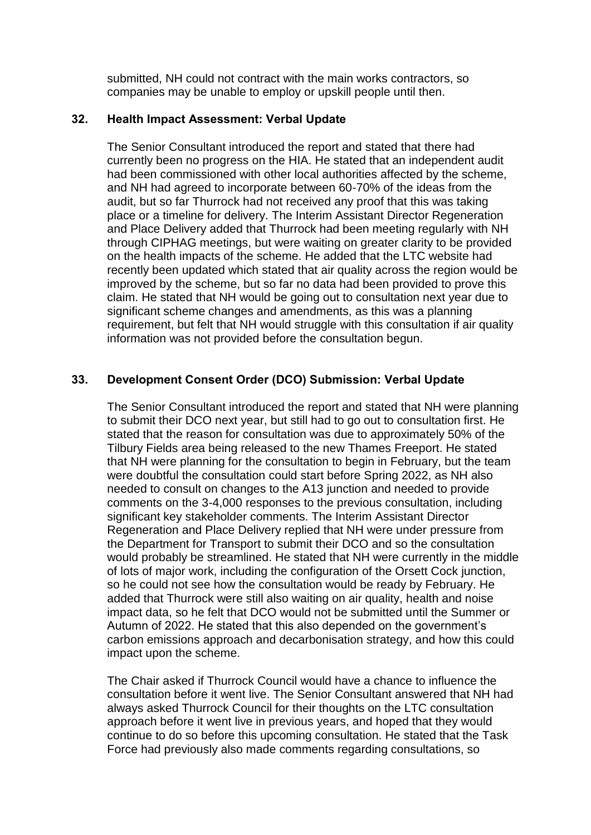submitted, NH could not contract with the main works contractors, so companies may be unable to employ or upskill people until then.

## **32. Health Impact Assessment: Verbal Update**

The Senior Consultant introduced the report and stated that there had currently been no progress on the HIA. He stated that an independent audit had been commissioned with other local authorities affected by the scheme, and NH had agreed to incorporate between 60-70% of the ideas from the audit, but so far Thurrock had not received any proof that this was taking place or a timeline for delivery. The Interim Assistant Director Regeneration and Place Delivery added that Thurrock had been meeting regularly with NH through CIPHAG meetings, but were waiting on greater clarity to be provided on the health impacts of the scheme. He added that the LTC website had recently been updated which stated that air quality across the region would be improved by the scheme, but so far no data had been provided to prove this claim. He stated that NH would be going out to consultation next year due to significant scheme changes and amendments, as this was a planning requirement, but felt that NH would struggle with this consultation if air quality information was not provided before the consultation begun.

# **33. Development Consent Order (DCO) Submission: Verbal Update**

The Senior Consultant introduced the report and stated that NH were planning to submit their DCO next year, but still had to go out to consultation first. He stated that the reason for consultation was due to approximately 50% of the Tilbury Fields area being released to the new Thames Freeport. He stated that NH were planning for the consultation to begin in February, but the team were doubtful the consultation could start before Spring 2022, as NH also needed to consult on changes to the A13 junction and needed to provide comments on the 3-4,000 responses to the previous consultation, including significant key stakeholder comments. The Interim Assistant Director Regeneration and Place Delivery replied that NH were under pressure from the Department for Transport to submit their DCO and so the consultation would probably be streamlined. He stated that NH were currently in the middle of lots of major work, including the configuration of the Orsett Cock junction, so he could not see how the consultation would be ready by February. He added that Thurrock were still also waiting on air quality, health and noise impact data, so he felt that DCO would not be submitted until the Summer or Autumn of 2022. He stated that this also depended on the government's carbon emissions approach and decarbonisation strategy, and how this could impact upon the scheme.

The Chair asked if Thurrock Council would have a chance to influence the consultation before it went live. The Senior Consultant answered that NH had always asked Thurrock Council for their thoughts on the LTC consultation approach before it went live in previous years, and hoped that they would continue to do so before this upcoming consultation. He stated that the Task Force had previously also made comments regarding consultations, so